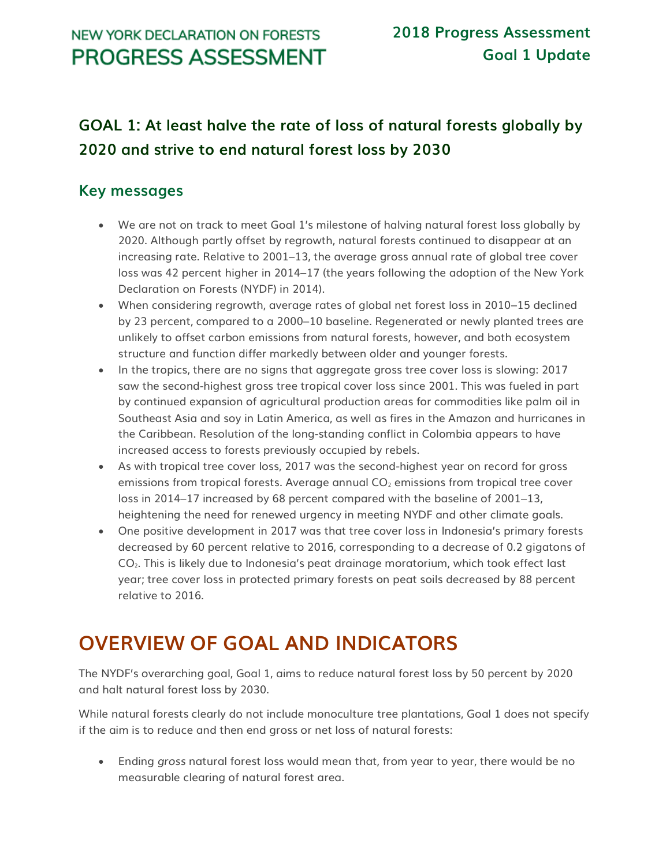## NEW YORK DECLARATION ON FORESTS **PROGRESS ASSESSMENT**

# **GOAL 1: At least halve the rate of loss of natural forests globally by 2020 and strive to end natural forest loss by 2030**

## **Key messages**

- We are not on track to meet Goal 1's milestone of halving natural forest loss globally by 2020. Although partly offset by regrowth, natural forests continued to disappear at an increasing rate. Relative to 2001–13, the average gross annual rate of global tree cover loss was 42 percent higher in 2014–17 (the years following the adoption of the New York Declaration on Forests (NYDF) in 2014).
- When considering regrowth, average rates of global net forest loss in 2010–15 declined by 23 percent, compared to a 2000–10 baseline. Regenerated or newly planted trees are unlikely to offset carbon emissions from natural forests, however, and both ecosystem structure and function differ markedly between older and younger forests.
- In the tropics, there are no signs that aggregate gross tree cover loss is slowing: 2017 saw the second-highest gross tree tropical cover loss since 2001. This was fueled in part by continued expansion of agricultural production areas for commodities like palm oil in Southeast Asia and soy in Latin America, as well as fires in the Amazon and hurricanes in the Caribbean. Resolution of the long-standing conflict in Colombia appears to have increased access to forests previously occupied by rebels.
- As with tropical tree cover loss, 2017 was the second-highest year on record for gross emissions from tropical forests. Average annual  $CO<sub>2</sub>$  emissions from tropical tree cover loss in 2014–17 increased by 68 percent compared with the baseline of 2001–13, heightening the need for renewed urgency in meeting NYDF and other climate goals.
- One positive development in 2017 was that tree cover loss in Indonesia's primary forests decreased by 60 percent relative to 2016, corresponding to a decrease of 0.2 gigatons of CO2. This is likely due to Indonesia's peat drainage moratorium, which took effect last year; tree cover loss in protected primary forests on peat soils decreased by 88 percent relative to 2016.

# **OVERVIEW OF GOAL AND INDICATORS**

The NYDF's overarching goal, Goal 1, aims to reduce natural forest loss by 50 percent by 2020 and halt natural forest loss by 2030.

While natural forests clearly do not include monoculture tree plantations, Goal 1 does not specify if the aim is to reduce and then end gross or net loss of natural forests:

• Ending *gross* natural forest loss would mean that, from year to year, there would be no measurable clearing of natural forest area.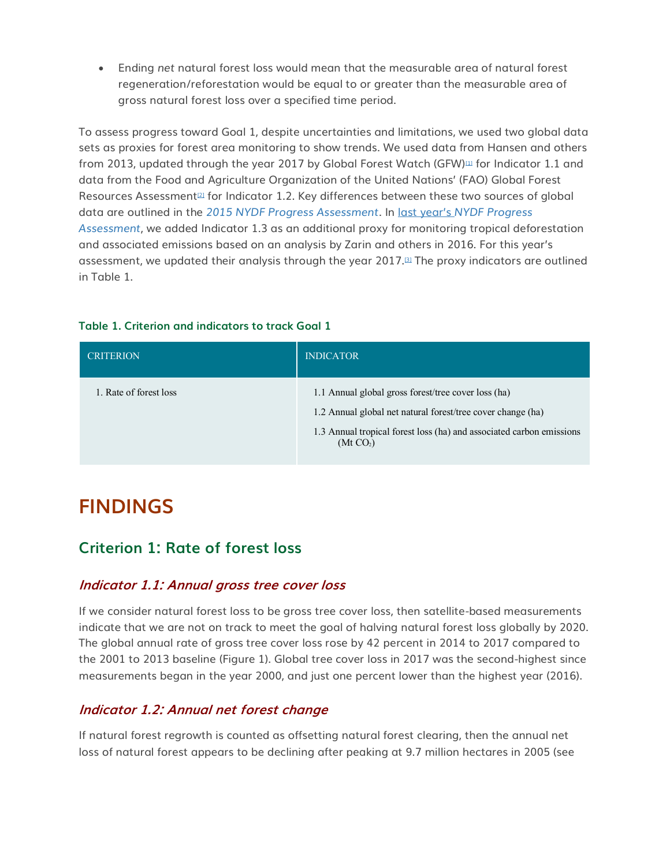• Ending *net* natural forest loss would mean that the measurable area of natural forest regeneration/reforestation would be equal to or greater than the measurable area of gross natural forest loss over a specified time period.

To assess progress toward Goal 1, despite uncertainties and limitations, we used two global data sets as proxies for forest area monitoring to show trends. We used data from Hansen and others from 2013, updated through the year 2017 by Global Forest Watch (GFW) $\mu$  for Indicator 1.1 and data from the Food and Agriculture Organization of the United Nations' (FAO) Global Forest Resources Assessment<sup>[\[2\]](http://forestdeclaration.org/goal/goal-1/#_edn2)</sup> for Indicator 1.2. Key differences between these two sources of global data are outlined in the *[2015 NYDF Progress Assessment](http://forestdeclaration.org/wp-content/uploads/2015/10/NYDF-Progress-Report.pdf)*. In last year's *[NYDF Progress](http://forestdeclaration.org/wp-content/uploads/2018/08/goal_1-stop_forest_loss%E2%80%93forest_declaration.pdf)  [Assessment](http://forestdeclaration.org/wp-content/uploads/2018/08/goal_1-stop_forest_loss%E2%80%93forest_declaration.pdf)*, we added Indicator 1.3 as an additional proxy for monitoring tropical deforestation and associated emissions based on an analysis by Zarin and others in 2016. For this year's assessment, we updated their analysis through the year 2017.<sup>[\[3\]](http://forestdeclaration.org/goal/goal-1/#_edn3)</sup> The proxy indicators are outlined in Table 1.

#### **Table 1. Criterion and indicators to track Goal 1**

| <b>CRITERION</b>       | <b>INDICATOR</b>                                                                                                                                                                                                    |
|------------------------|---------------------------------------------------------------------------------------------------------------------------------------------------------------------------------------------------------------------|
| 1. Rate of forest loss | 1.1 Annual global gross forest/tree cover loss (ha)<br>1.2 Annual global net natural forest/tree cover change (ha)<br>1.3 Annual tropical forest loss (ha) and associated carbon emissions<br>(Mt CO <sub>2</sub> ) |

# **FINDINGS**

### **Criterion 1: Rate of forest loss**

### **Indicator 1.1: Annual gross tree cover loss**

If we consider natural forest loss to be gross tree cover loss, then satellite-based measurements indicate that we are not on track to meet the goal of halving natural forest loss globally by 2020. The global annual rate of gross tree cover loss rose by 42 percent in 2014 to 2017 compared to the 2001 to 2013 baseline (Figure 1). Global tree cover loss in 2017 was the second-highest since measurements began in the year 2000, and just one percent lower than the highest year (2016).

### **Indicator 1.2: Annual net forest change**

If natural forest regrowth is counted as offsetting natural forest clearing, then the annual net loss of natural forest appears to be declining after peaking at 9.7 million hectares in 2005 (see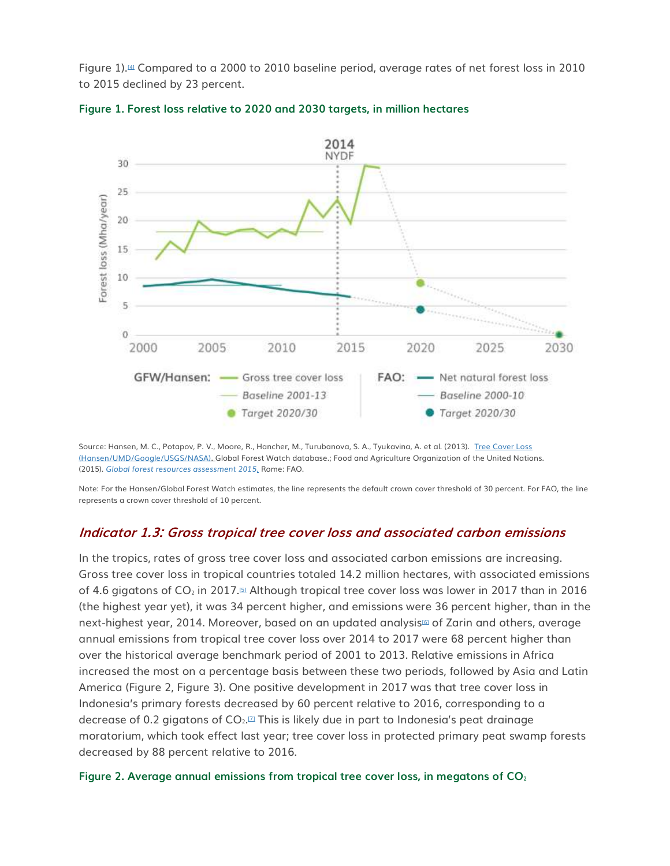Figure 1).[\[4\]](http://forestdeclaration.org/goal/goal-1/#_edn4) Compared to a 2000 to 2010 baseline period, average rates of net forest loss in 2010 to 2015 declined by 23 percent.





Source: Hansen, M. C., Potapov, P. V., Moore, R., Hancher, M., Turubanova, S. A., Tyukavina, A. et al. (2013). [Tree Cover Loss](http://data.globalforestwatch.org/datasets/63f9425c45404c36a23495ed7bef1314)  [\(Hansen/UMD/Google/USGS/NASA\).](http://data.globalforestwatch.org/datasets/63f9425c45404c36a23495ed7bef1314) Global Forest Watch database.; Food and Agriculture Organization of the United Nations. (2015). *[Global forest resources assessment 2015](http://www.fao.org/forest-resources-assessment/past-assessments/fra-2015/en/)*. Rome: FAO.

Note: For the Hansen/Global Forest Watch estimates, the line represents the default crown cover threshold of 30 percent. For FAO, the line represents a crown cover threshold of 10 percent.

#### **Indicator 1.3: Gross tropical tree cover loss and associated carbon emissions**

In the tropics, rates of gross tree cover loss and associated carbon emissions are increasing. Gross tree cover loss in tropical countries totaled 14.2 million hectares, with associated emissions of 4.6 gigatons of  $CO<sub>2</sub>$  in 2017.<sup>[\[5\]](http://forestdeclaration.org/goal/goal-1/#_edn5)</sup> Although tropical tree cover loss was lower in 2017 than in 2016 (the highest year yet), it was 34 percent higher, and emissions were 36 percent higher, than in the next-highest year, 2014. Moreover, based on an updated analysis<sup>[\[6\]](http://forestdeclaration.org/goal/goal-1/#_edn6)</sup> of Zarin and others, average annual emissions from tropical tree cover loss over 2014 to 2017 were 68 percent higher than over the historical average benchmark period of 2001 to 2013. Relative emissions in Africa increased the most on a percentage basis between these two periods, followed by Asia and Latin America (Figure 2, Figure 3). One positive development in 2017 was that tree cover loss in Indonesia's primary forests decreased by 60 percent relative to 2016, corresponding to a decrease of 0.2 gigatons of CO $_2$ . $\scriptstyle\rm\scriptstyle II$  This is likely due in part to Indonesia's peat drainage moratorium, which took effect last year; tree cover loss in protected primary peat swamp forests decreased by 88 percent relative to 2016.

#### **Figure 2. Average annual emissions from tropical tree cover loss, in megatons of CO2**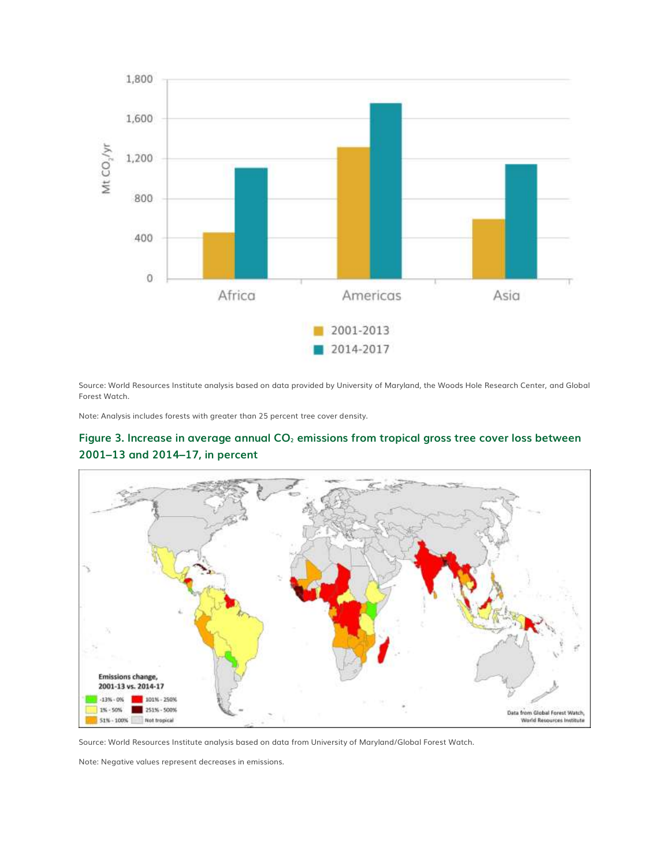

Source: World Resources Institute analysis based on data provided by University of Maryland, the Woods Hole Research Center, and Global Forest Watch.

Note: Analysis includes forests with greater than 25 percent tree cover density.





Source: World Resources Institute analysis based on data from University of Maryland/Global Forest Watch.

Note: Negative values represent decreases in emissions.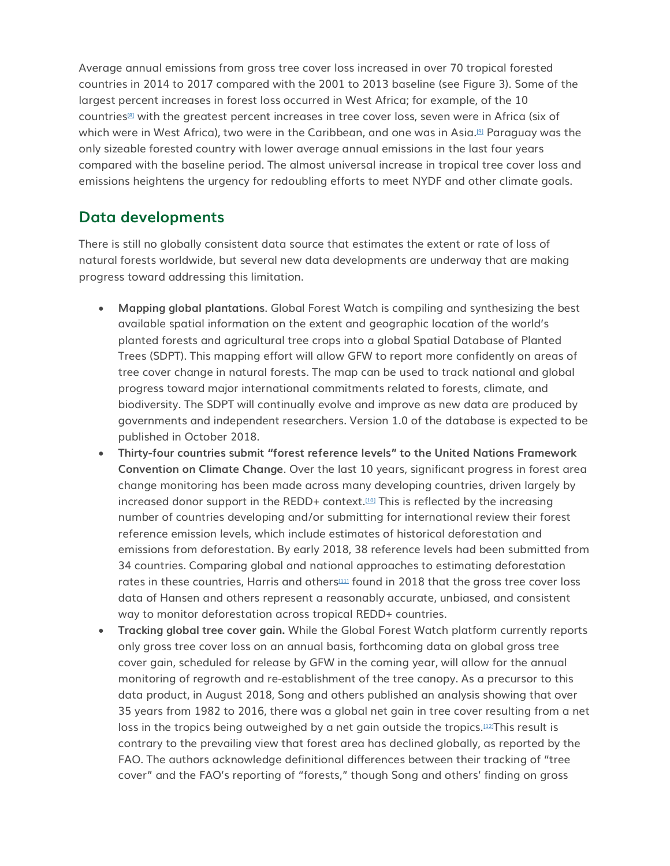Average annual emissions from gross tree cover loss increased in over 70 tropical forested countries in 2014 to 2017 compared with the 2001 to 2013 baseline (see Figure 3). Some of the largest percent increases in forest loss occurred in West Africa; for example, of the 10 countries[\[8\]](http://forestdeclaration.org/goal/goal-1/#_edn8) with the greatest percent increases in tree cover loss, seven were in Africa (six of which were in West Africa), two were in the Caribbean, and one was in Asia.[\[9\]](http://forestdeclaration.org/goal/goal-1/#_edn9) Paraguay was the only sizeable forested country with lower average annual emissions in the last four years compared with the baseline period. The almost universal increase in tropical tree cover loss and emissions heightens the urgency for redoubling efforts to meet NYDF and other climate goals.

## **Data developments**

There is still no globally consistent data source that estimates the extent or rate of loss of natural forests worldwide, but several new data developments are underway that are making progress toward addressing this limitation.

- **Mapping global plantations**. Global Forest Watch is compiling and synthesizing the best available spatial information on the extent and geographic location of the world's planted forests and agricultural tree crops into a global Spatial Database of Planted Trees (SDPT). This mapping effort will allow GFW to report more confidently on areas of tree cover change in natural forests. The map can be used to track national and global progress toward major international commitments related to forests, climate, and biodiversity. The SDPT will continually evolve and improve as new data are produced by governments and independent researchers. Version 1.0 of the database is expected to be published in October 2018.
- **Thirty-four countries submit "forest reference levels" to the United Nations Framework Convention on Climate Change**. Over the last 10 years, significant progress in forest area change monitoring has been made across many developing countries, driven largely by increased donor support in the REDD+ context.[\[10\]](http://forestdeclaration.org/goal/goal-1/#_edn10) This is reflected by the increasing number of countries developing and/or submitting for international review their forest reference emission levels, which include estimates of historical deforestation and emissions from deforestation. By early 2018, 38 reference levels had been submitted from 34 countries. Comparing global and national approaches to estimating deforestation rates in these countries, Harris and others $\mu$  found in 2018 that the gross tree cover loss data of Hansen and others represent a reasonably accurate, unbiased, and consistent way to monitor deforestation across tropical REDD+ countries.
- **Tracking global tree cover gain.** While the Global Forest Watch platform currently reports only gross tree cover loss on an annual basis, forthcoming data on global gross tree cover gain, scheduled for release by GFW in the coming year, will allow for the annual monitoring of regrowth and re-establishment of the tree canopy. As a precursor to this data product, in August 2018, Song and others published an analysis showing that over 35 years from 1982 to 2016, there was a global net gain in tree cover resulting from a net loss in the tropics being outweighed by a net gain outside the tropics.<sup>[\[12\]](http://forestdeclaration.org/goal/goal-1/#_edn12)</sup>This result is contrary to the prevailing view that forest area has declined globally, as reported by the FAO. The authors acknowledge definitional differences between their tracking of "tree cover" and the FAO's reporting of "forests," though Song and others' finding on gross